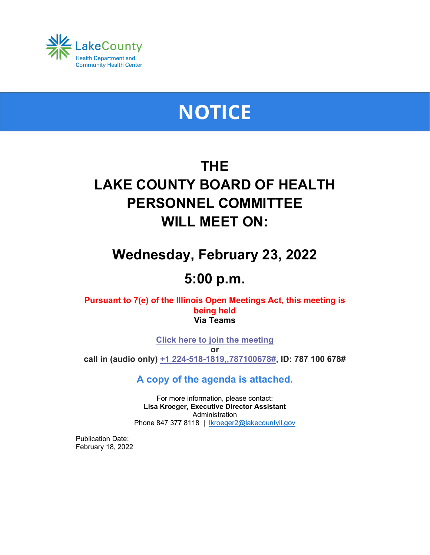

# **NOTICE**

# **THE LAKE COUNTY BOARD OF HEALTH PERSONNEL COMMITTEE WILL MEET ON:**

## **Wednesday, February 23, 2022**

### **5:00 p.m.**

**Pursuant to 7(e) of the Illinois Open Meetings Act, this meeting is being held Via Teams**

**[Click here to join the meeting](https://teams.microsoft.com/l/meetup-join/19%3ameeting_NjRhOTA3YzItZDc5NC00MzZjLTljNDYtZmVmYTllMTU2NDEy%40thread.v2/0?context=%7b%22Tid%22%3a%22dd536cf5-92fd-42ff-a754-e98666cb7a96%22%2c%22Oid%22%3a%226db2f904-a33a-4f6c-80ff-57cd801cd388%22%7d) or call in (audio only) [+1 224-518-1819,,787100678#,](tel:+12245181819,,787100678#%20) ID: 787 100 678#**

#### **A copy of the agenda is attached.**

For more information, please contact: **Lisa Kroeger, Executive Director Assistant** Administration Phone 847 377 8118 | [lkroeger2@lakecountyil.gov](mailto:lkroeger2@lakecountyil.gov)

Publication Date: February 18, 2022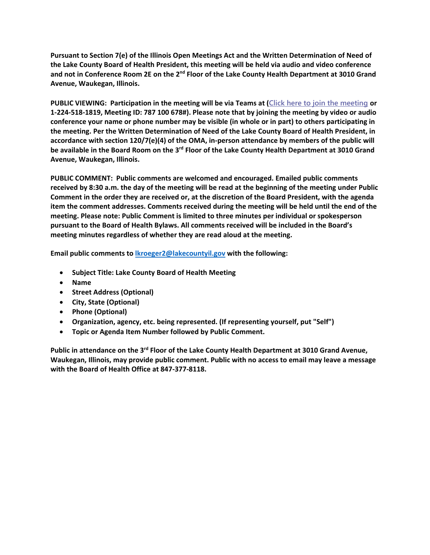**Pursuant to Section 7(e) of the Illinois Open Meetings Act and the Written Determination of Need of the Lake County Board of Health President, this meeting will be held via audio and video conference and not in Conference Room 2E on the 2nd Floor of the Lake County Health Department at 3010 Grand Avenue, Waukegan, Illinois.**

**PUBLIC VIEWING: Participation in the meeting will be via Teams at ([Click here to join the meeting](https://teams.microsoft.com/l/meetup-join/19%3ameeting_NjRhOTA3YzItZDc5NC00MzZjLTljNDYtZmVmYTllMTU2NDEy%40thread.v2/0?context=%7b%22Tid%22%3a%22dd536cf5-92fd-42ff-a754-e98666cb7a96%22%2c%22Oid%22%3a%226db2f904-a33a-4f6c-80ff-57cd801cd388%22%7d) or 1-224-518-1819, Meeting ID: 787 100 678#). Please note that by joining the meeting by video or audio conference your name or phone number may be visible (in whole or in part) to others participating in the meeting. Per the Written Determination of Need of the Lake County Board of Health President, in accordance with section 120/7(e)(4) of the OMA, in-person attendance by members of the public will be available in the Board Room on the 3rd Floor of the Lake County Health Department at 3010 Grand Avenue, Waukegan, Illinois.**

**PUBLIC COMMENT: Public comments are welcomed and encouraged. Emailed public comments received by 8:30 a.m. the day of the meeting will be read at the beginning of the meeting under Public Comment in the order they are received or, at the discretion of the Board President, with the agenda item the comment addresses. Comments received during the meeting will be held until the end of the meeting. Please note: Public Comment is limited to three minutes per individual or spokesperson pursuant to the Board of Health Bylaws. All comments received will be included in the Board's meeting minutes regardless of whether they are read aloud at the meeting.**

**Email public comments t[o lkroeger2@lakecountyil.gov](mailto:lkroeger2@lakecountyil.gov) with the following:**

- **Subject Title: Lake County Board of Health Meeting**
- **Name**
- **Street Address (Optional)**
- **City, State (Optional)**
- **Phone (Optional)**
- **Organization, agency, etc. being represented. (If representing yourself, put "Self")**
- **Topic or Agenda Item Number followed by Public Comment.**

**Public in attendance on the 3rd Floor of the Lake County Health Department at 3010 Grand Avenue, Waukegan, Illinois, may provide public comment. Public with no access to email may leave a message with the Board of Health Office at 847-377-8118.**